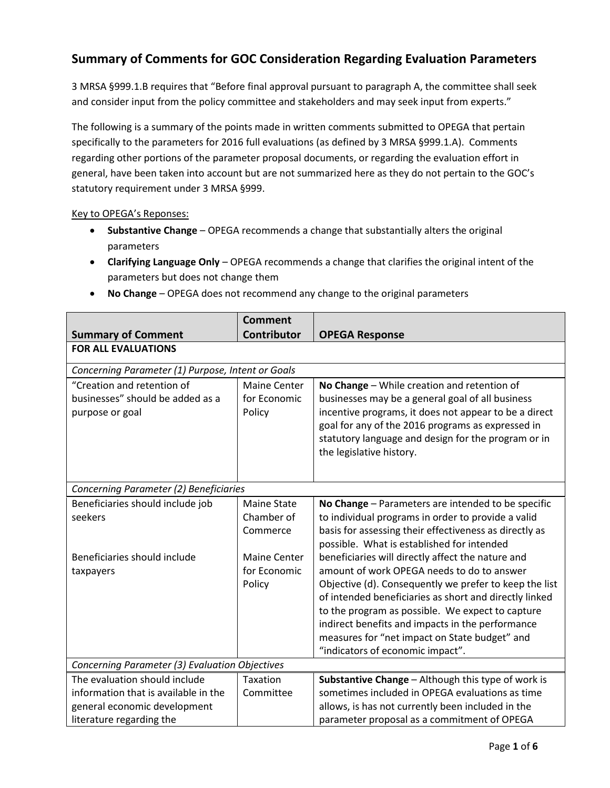## **Summary of Comments for GOC Consideration Regarding Evaluation Parameters**

3 MRSA §999.1.B requires that "Before final approval pursuant to paragraph A, the committee shall seek and consider input from the policy committee and stakeholders and may seek input from experts."

The following is a summary of the points made in written comments submitted to OPEGA that pertain specifically to the parameters for 2016 full evaluations (as defined by 3 MRSA §999.1.A). Comments regarding other portions of the parameter proposal documents, or regarding the evaluation effort in general, have been taken into account but are not summarized here as they do not pertain to the GOC's statutory requirement under 3 MRSA §999.

## Key to OPEGA's Reponses:

- **Substantive Change**  OPEGA recommends a change that substantially alters the original parameters
- **Clarifying Language Only** OPEGA recommends a change that clarifies the original intent of the parameters but does not change them

|                                                                                                                                   | <b>Comment</b>                                                                                |                                                                                                                                                                                                                                                                                                                                                                                                                                                                                                                                                                                                                                      |  |  |
|-----------------------------------------------------------------------------------------------------------------------------------|-----------------------------------------------------------------------------------------------|--------------------------------------------------------------------------------------------------------------------------------------------------------------------------------------------------------------------------------------------------------------------------------------------------------------------------------------------------------------------------------------------------------------------------------------------------------------------------------------------------------------------------------------------------------------------------------------------------------------------------------------|--|--|
| <b>Summary of Comment</b>                                                                                                         | <b>Contributor</b>                                                                            | <b>OPEGA Response</b>                                                                                                                                                                                                                                                                                                                                                                                                                                                                                                                                                                                                                |  |  |
| <b>FOR ALL EVALUATIONS</b>                                                                                                        |                                                                                               |                                                                                                                                                                                                                                                                                                                                                                                                                                                                                                                                                                                                                                      |  |  |
| Concerning Parameter (1) Purpose, Intent or Goals                                                                                 |                                                                                               |                                                                                                                                                                                                                                                                                                                                                                                                                                                                                                                                                                                                                                      |  |  |
| "Creation and retention of<br>businesses" should be added as a<br>purpose or goal                                                 | <b>Maine Center</b><br>for Economic<br>Policy                                                 | No Change - While creation and retention of<br>businesses may be a general goal of all business<br>incentive programs, it does not appear to be a direct<br>goal for any of the 2016 programs as expressed in<br>statutory language and design for the program or in<br>the legislative history.                                                                                                                                                                                                                                                                                                                                     |  |  |
| Concerning Parameter (2) Beneficiaries                                                                                            |                                                                                               |                                                                                                                                                                                                                                                                                                                                                                                                                                                                                                                                                                                                                                      |  |  |
| Beneficiaries should include job<br>seekers<br>Beneficiaries should include<br>taxpayers                                          | <b>Maine State</b><br>Chamber of<br>Commerce<br><b>Maine Center</b><br>for Economic<br>Policy | No Change - Parameters are intended to be specific<br>to individual programs in order to provide a valid<br>basis for assessing their effectiveness as directly as<br>possible. What is established for intended<br>beneficiaries will directly affect the nature and<br>amount of work OPEGA needs to do to answer<br>Objective (d). Consequently we prefer to keep the list<br>of intended beneficiaries as short and directly linked<br>to the program as possible. We expect to capture<br>indirect benefits and impacts in the performance<br>measures for "net impact on State budget" and<br>"indicators of economic impact". |  |  |
| Concerning Parameter (3) Evaluation Objectives                                                                                    |                                                                                               |                                                                                                                                                                                                                                                                                                                                                                                                                                                                                                                                                                                                                                      |  |  |
| The evaluation should include<br>information that is available in the<br>general economic development<br>literature regarding the | <b>Taxation</b><br>Committee                                                                  | Substantive Change - Although this type of work is<br>sometimes included in OPEGA evaluations as time<br>allows, is has not currently been included in the<br>parameter proposal as a commitment of OPEGA                                                                                                                                                                                                                                                                                                                                                                                                                            |  |  |

**No Change** – OPEGA does not recommend any change to the original parameters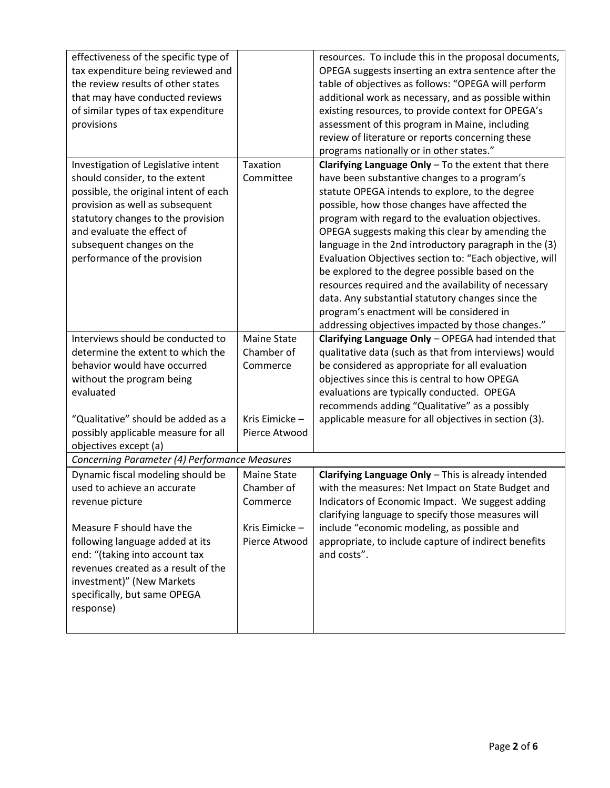| effectiveness of the specific type of         |                    | resources. To include this in the proposal documents,   |
|-----------------------------------------------|--------------------|---------------------------------------------------------|
| tax expenditure being reviewed and            |                    | OPEGA suggests inserting an extra sentence after the    |
| the review results of other states            |                    | table of objectives as follows: "OPEGA will perform     |
| that may have conducted reviews               |                    | additional work as necessary, and as possible within    |
| of similar types of tax expenditure           |                    | existing resources, to provide context for OPEGA's      |
| provisions                                    |                    | assessment of this program in Maine, including          |
|                                               |                    | review of literature or reports concerning these        |
|                                               |                    | programs nationally or in other states."                |
| Investigation of Legislative intent           | Taxation           | Clarifying Language Only $-$ To the extent that there   |
|                                               | Committee          |                                                         |
| should consider, to the extent                |                    | have been substantive changes to a program's            |
| possible, the original intent of each         |                    | statute OPEGA intends to explore, to the degree         |
| provision as well as subsequent               |                    | possible, how those changes have affected the           |
| statutory changes to the provision            |                    | program with regard to the evaluation objectives.       |
| and evaluate the effect of                    |                    | OPEGA suggests making this clear by amending the        |
| subsequent changes on the                     |                    | language in the 2nd introductory paragraph in the (3)   |
| performance of the provision                  |                    | Evaluation Objectives section to: "Each objective, will |
|                                               |                    | be explored to the degree possible based on the         |
|                                               |                    | resources required and the availability of necessary    |
|                                               |                    | data. Any substantial statutory changes since the       |
|                                               |                    | program's enactment will be considered in               |
|                                               |                    | addressing objectives impacted by those changes."       |
| Interviews should be conducted to             | <b>Maine State</b> | Clarifying Language Only - OPEGA had intended that      |
| determine the extent to which the             | Chamber of         | qualitative data (such as that from interviews) would   |
| behavior would have occurred                  | Commerce           | be considered as appropriate for all evaluation         |
| without the program being                     |                    | objectives since this is central to how OPEGA           |
| evaluated                                     |                    | evaluations are typically conducted. OPEGA              |
|                                               |                    | recommends adding "Qualitative" as a possibly           |
| "Qualitative" should be added as a            | Kris Eimicke-      | applicable measure for all objectives in section (3).   |
| possibly applicable measure for all           | Pierce Atwood      |                                                         |
| objectives except (a)                         |                    |                                                         |
| Concerning Parameter (4) Performance Measures |                    |                                                         |
| Dynamic fiscal modeling should be             | <b>Maine State</b> | Clarifying Language Only - This is already intended     |
| used to achieve an accurate                   | Chamber of         | with the measures: Net Impact on State Budget and       |
| revenue picture                               | Commerce           | Indicators of Economic Impact. We suggest adding        |
|                                               |                    | clarifying language to specify those measures will      |
| Measure F should have the                     | Kris Eimicke-      | include "economic modeling, as possible and             |
| following language added at its               | Pierce Atwood      | appropriate, to include capture of indirect benefits    |
| end: "(taking into account tax                |                    | and costs".                                             |
| revenues created as a result of the           |                    |                                                         |
|                                               |                    |                                                         |
| investment)" (New Markets                     |                    |                                                         |
| specifically, but same OPEGA                  |                    |                                                         |
| response)                                     |                    |                                                         |
|                                               |                    |                                                         |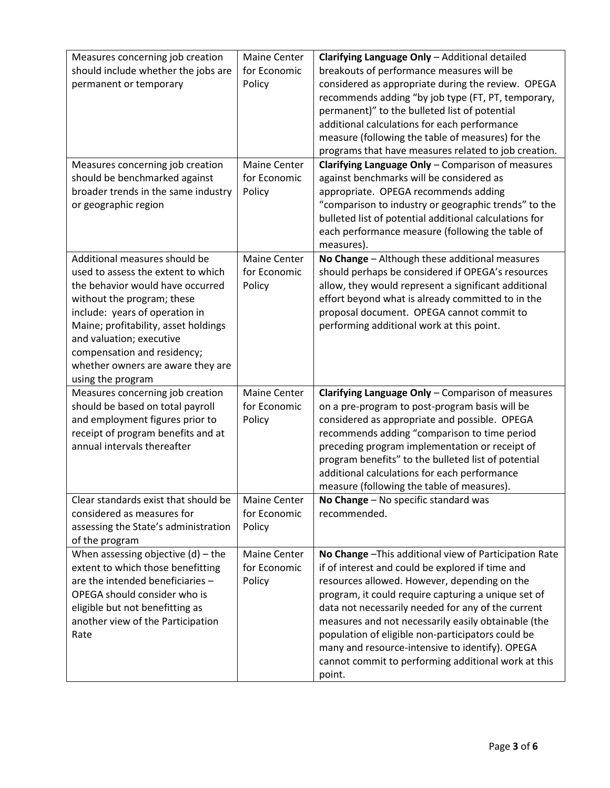| Measures concerning job creation<br>should include whether the jobs are | Maine Center<br>for Economic | Clarifying Language Only - Additional detailed<br>breakouts of performance measures will be                |
|-------------------------------------------------------------------------|------------------------------|------------------------------------------------------------------------------------------------------------|
| permanent or temporary                                                  | Policy                       | considered as appropriate during the review. OPEGA                                                         |
|                                                                         |                              | recommends adding "by job type (FT, PT, temporary,                                                         |
|                                                                         |                              | permanent)" to the bulleted list of potential                                                              |
|                                                                         |                              | additional calculations for each performance                                                               |
|                                                                         |                              | measure (following the table of measures) for the                                                          |
|                                                                         |                              | programs that have measures related to job creation.                                                       |
| Measures concerning job creation                                        | <b>Maine Center</b>          | Clarifying Language Only - Comparison of measures                                                          |
| should be benchmarked against                                           | for Economic                 | against benchmarks will be considered as                                                                   |
| broader trends in the same industry                                     | Policy                       | appropriate. OPEGA recommends adding                                                                       |
| or geographic region                                                    |                              | "comparison to industry or geographic trends" to the                                                       |
|                                                                         |                              | bulleted list of potential additional calculations for<br>each performance measure (following the table of |
|                                                                         |                              | measures).                                                                                                 |
| Additional measures should be                                           | <b>Maine Center</b>          | No Change - Although these additional measures                                                             |
| used to assess the extent to which                                      | for Economic                 | should perhaps be considered if OPEGA's resources                                                          |
| the behavior would have occurred                                        | Policy                       | allow, they would represent a significant additional                                                       |
| without the program; these                                              |                              | effort beyond what is already committed to in the                                                          |
| include: years of operation in                                          |                              | proposal document. OPEGA cannot commit to                                                                  |
| Maine; profitability, asset holdings                                    |                              | performing additional work at this point.                                                                  |
| and valuation; executive                                                |                              |                                                                                                            |
| compensation and residency;                                             |                              |                                                                                                            |
| whether owners are aware they are                                       |                              |                                                                                                            |
| using the program                                                       |                              |                                                                                                            |
| Measures concerning job creation                                        | <b>Maine Center</b>          | Clarifying Language Only - Comparison of measures                                                          |
| should be based on total payroll                                        | for Economic                 | on a pre-program to post-program basis will be                                                             |
| and employment figures prior to                                         | Policy                       | considered as appropriate and possible. OPEGA                                                              |
| receipt of program benefits and at                                      |                              | recommends adding "comparison to time period                                                               |
| annual intervals thereafter                                             |                              | preceding program implementation or receipt of<br>program benefits" to the bulleted list of potential      |
|                                                                         |                              | additional calculations for each performance                                                               |
|                                                                         |                              | measure (following the table of measures).                                                                 |
| Clear standards exist that should be                                    | <b>Maine Center</b>          | No Change - No specific standard was                                                                       |
| considered as measures for                                              | for Economic                 | recommended.                                                                                               |
| assessing the State's administration                                    | Policy                       |                                                                                                            |
| of the program                                                          |                              |                                                                                                            |
| When assessing objective $(d)$ – the                                    | Maine Center                 | No Change - This additional view of Participation Rate                                                     |
| extent to which those benefitting                                       | for Economic                 | if of interest and could be explored if time and                                                           |
| are the intended beneficiaries -                                        | Policy                       | resources allowed. However, depending on the                                                               |
| OPEGA should consider who is                                            |                              | program, it could require capturing a unique set of                                                        |
| eligible but not benefitting as                                         |                              | data not necessarily needed for any of the current                                                         |
| another view of the Participation                                       |                              | measures and not necessarily easily obtainable (the                                                        |
| Rate                                                                    |                              | population of eligible non-participators could be                                                          |
|                                                                         |                              | many and resource-intensive to identify). OPEGA                                                            |
|                                                                         |                              | cannot commit to performing additional work at this                                                        |
|                                                                         |                              | point.                                                                                                     |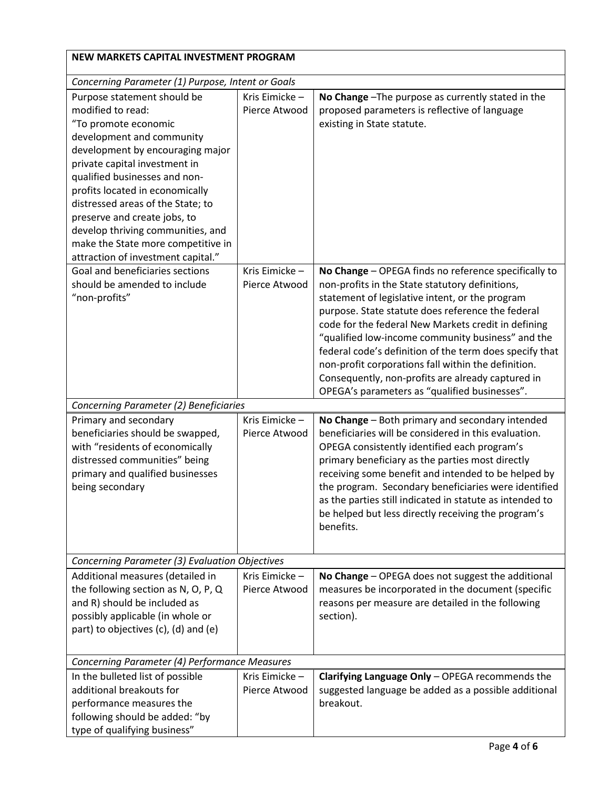| NEW MARKETS CAPITAL INVESTMENT PROGRAM                                                                                                                                                                                                                                                                                                                                                                                               |                                |                                                                                                                                                                                                                                                                                                                                                                                                                                                                                                                                                     |  |
|--------------------------------------------------------------------------------------------------------------------------------------------------------------------------------------------------------------------------------------------------------------------------------------------------------------------------------------------------------------------------------------------------------------------------------------|--------------------------------|-----------------------------------------------------------------------------------------------------------------------------------------------------------------------------------------------------------------------------------------------------------------------------------------------------------------------------------------------------------------------------------------------------------------------------------------------------------------------------------------------------------------------------------------------------|--|
| Concerning Parameter (1) Purpose, Intent or Goals                                                                                                                                                                                                                                                                                                                                                                                    |                                |                                                                                                                                                                                                                                                                                                                                                                                                                                                                                                                                                     |  |
| Purpose statement should be<br>modified to read:<br>"To promote economic<br>development and community<br>development by encouraging major<br>private capital investment in<br>qualified businesses and non-<br>profits located in economically<br>distressed areas of the State; to<br>preserve and create jobs, to<br>develop thriving communities, and<br>make the State more competitive in<br>attraction of investment capital." | Kris Eimicke-<br>Pierce Atwood | No Change - The purpose as currently stated in the<br>proposed parameters is reflective of language<br>existing in State statute.                                                                                                                                                                                                                                                                                                                                                                                                                   |  |
| Goal and beneficiaries sections<br>should be amended to include<br>"non-profits"                                                                                                                                                                                                                                                                                                                                                     | Kris Eimicke-<br>Pierce Atwood | No Change - OPEGA finds no reference specifically to<br>non-profits in the State statutory definitions,<br>statement of legislative intent, or the program<br>purpose. State statute does reference the federal<br>code for the federal New Markets credit in defining<br>"qualified low-income community business" and the<br>federal code's definition of the term does specify that<br>non-profit corporations fall within the definition.<br>Consequently, non-profits are already captured in<br>OPEGA's parameters as "qualified businesses". |  |
| Concerning Parameter (2) Beneficiaries                                                                                                                                                                                                                                                                                                                                                                                               |                                |                                                                                                                                                                                                                                                                                                                                                                                                                                                                                                                                                     |  |
| Primary and secondary<br>beneficiaries should be swapped,<br>with "residents of economically<br>distressed communities" being<br>primary and qualified businesses<br>being secondary                                                                                                                                                                                                                                                 | Kris Eimicke-<br>Pierce Atwood | No Change - Both primary and secondary intended<br>beneficiaries will be considered in this evaluation.<br>OPEGA consistently identified each program's<br>primary beneficiary as the parties most directly<br>receiving some benefit and intended to be helped by<br>the program. Secondary beneficiaries were identified<br>as the parties still indicated in statute as intended to<br>be helped but less directly receiving the program's<br>benefits.                                                                                          |  |
| Concerning Parameter (3) Evaluation Objectives                                                                                                                                                                                                                                                                                                                                                                                       |                                |                                                                                                                                                                                                                                                                                                                                                                                                                                                                                                                                                     |  |
| Additional measures (detailed in<br>the following section as N, O, P, Q<br>and R) should be included as<br>possibly applicable (in whole or<br>part) to objectives (c), (d) and (e)                                                                                                                                                                                                                                                  | Kris Eimicke-<br>Pierce Atwood | No Change - OPEGA does not suggest the additional<br>measures be incorporated in the document (specific<br>reasons per measure are detailed in the following<br>section).                                                                                                                                                                                                                                                                                                                                                                           |  |
| Concerning Parameter (4) Performance Measures                                                                                                                                                                                                                                                                                                                                                                                        |                                |                                                                                                                                                                                                                                                                                                                                                                                                                                                                                                                                                     |  |
| In the bulleted list of possible<br>additional breakouts for<br>performance measures the<br>following should be added: "by<br>type of qualifying business"                                                                                                                                                                                                                                                                           | Kris Eimicke-<br>Pierce Atwood | Clarifying Language Only - OPEGA recommends the<br>suggested language be added as a possible additional<br>breakout.                                                                                                                                                                                                                                                                                                                                                                                                                                |  |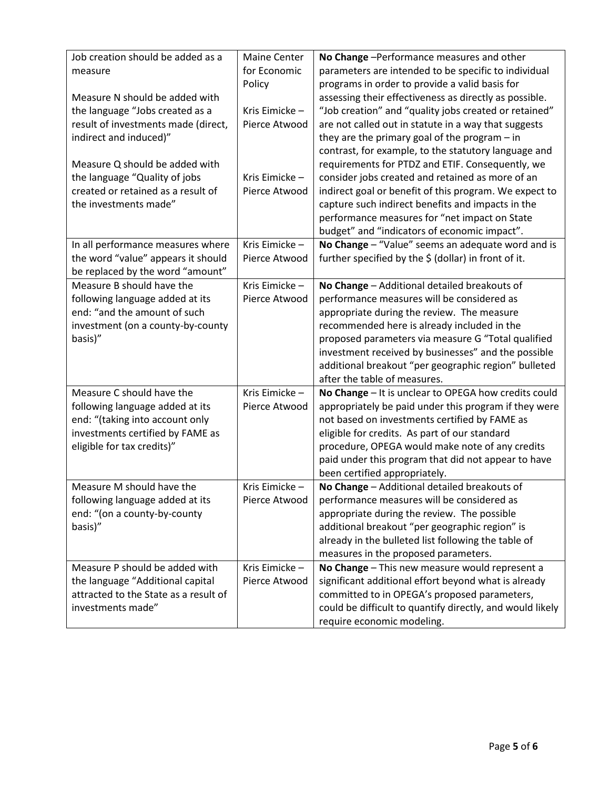| Job creation should be added as a     | <b>Maine Center</b> | No Change - Performance measures and other                |
|---------------------------------------|---------------------|-----------------------------------------------------------|
| measure                               | for Economic        | parameters are intended to be specific to individual      |
|                                       | Policy              | programs in order to provide a valid basis for            |
| Measure N should be added with        |                     | assessing their effectiveness as directly as possible.    |
| the language "Jobs created as a       | Kris Eimicke-       | "Job creation" and "quality jobs created or retained"     |
| result of investments made (direct,   | Pierce Atwood       | are not called out in statute in a way that suggests      |
| indirect and induced)"                |                     | they are the primary goal of the program $-$ in           |
|                                       |                     | contrast, for example, to the statutory language and      |
| Measure Q should be added with        |                     | requirements for PTDZ and ETIF. Consequently, we          |
| the language "Quality of jobs         | Kris Eimicke-       | consider jobs created and retained as more of an          |
| created or retained as a result of    | Pierce Atwood       | indirect goal or benefit of this program. We expect to    |
| the investments made"                 |                     | capture such indirect benefits and impacts in the         |
|                                       |                     | performance measures for "net impact on State             |
|                                       |                     | budget" and "indicators of economic impact".              |
| In all performance measures where     | Kris Eimicke-       | No Change - "Value" seems an adequate word and is         |
| the word "value" appears it should    | Pierce Atwood       | further specified by the \$ (dollar) in front of it.      |
| be replaced by the word "amount"      |                     |                                                           |
| Measure B should have the             | Kris Eimicke-       | No Change - Additional detailed breakouts of              |
| following language added at its       | Pierce Atwood       | performance measures will be considered as                |
| end: "and the amount of such          |                     | appropriate during the review. The measure                |
| investment (on a county-by-county     |                     | recommended here is already included in the               |
| basis)"                               |                     | proposed parameters via measure G "Total qualified        |
|                                       |                     | investment received by businesses" and the possible       |
|                                       |                     | additional breakout "per geographic region" bulleted      |
|                                       |                     | after the table of measures.                              |
| Measure C should have the             | Kris Eimicke-       | No Change - It is unclear to OPEGA how credits could      |
| following language added at its       | Pierce Atwood       | appropriately be paid under this program if they were     |
| end: "(taking into account only       |                     | not based on investments certified by FAME as             |
| investments certified by FAME as      |                     | eligible for credits. As part of our standard             |
| eligible for tax credits)"            |                     | procedure, OPEGA would make note of any credits           |
|                                       |                     | paid under this program that did not appear to have       |
|                                       |                     | been certified appropriately.                             |
| Measure M should have the             | Kris Eimicke-       | No Change - Additional detailed breakouts of              |
| following language added at its       | Pierce Atwood       | performance measures will be considered as                |
| end: "(on a county-by-county          |                     | appropriate during the review. The possible               |
| basis)"                               |                     | additional breakout "per geographic region" is            |
|                                       |                     | already in the bulleted list following the table of       |
|                                       |                     | measures in the proposed parameters.                      |
| Measure P should be added with        | Kris Eimicke-       | No Change - This new measure would represent a            |
| the language "Additional capital      | Pierce Atwood       | significant additional effort beyond what is already      |
| attracted to the State as a result of |                     | committed to in OPEGA's proposed parameters,              |
| investments made"                     |                     | could be difficult to quantify directly, and would likely |
|                                       |                     | require economic modeling.                                |